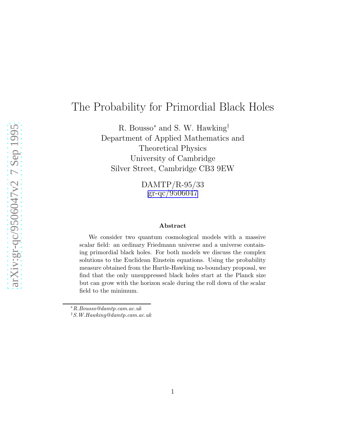# The Probability for Primordial Black Holes

R. Bousso<sup>∗</sup> and S. W. Hawking† Department of Applied Mathematics and Theoretical Physics University of Cambridge Silver Street, Cambridge CB3 9EW

> DAMTP/R-95/33 [gr-qc/9506047](http://arXiv.org/abs/gr-qc/9506047)

#### Abstract

We consider two quantum cosmological models with a massive scalar field: an ordinary Friedmann universe and a universe containing primordial black holes. For both models we discuss the complex solutions to the Euclidean Einstein equations. Using the probability measure obtained from the Hartle-Hawking no-boundary proposal, we find that the only unsuppressed black holes start at the Planck size but can grow with the horizon scale during the roll down of the scalar field to the minimum.

<sup>∗</sup>R.Bousso@damtp.cam.ac.uk

<sup>†</sup>S.W.Hawking@damtp.cam.ac.uk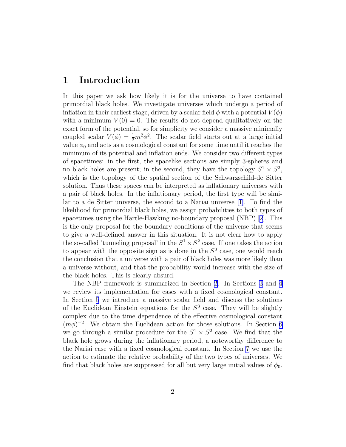#### 1 Introduction

In this paper we ask how likely it is for the universe to have contained primordial black holes. We investigate universes which undergo a period of inflation in their earliest stage, driven by a scalar field  $\phi$  with a potential  $V(\phi)$ with a minimum  $V(0) = 0$ . The results do not depend qualitatively on the exact form of the potential, so for simplicity we consider a massive minimally coupled scalar  $V(\phi) = \frac{1}{2}m^2\phi^2$ . The scalar field starts out at a large initial value  $\phi_0$  and acts as a cosmological constant for some time until it reaches the minimum of its potential and inflation ends. We consider two different types of spacetimes: in the first, the spacelike sections are simply 3-spheres and no black holes are present; in the second, they have the topology  $S^1 \times S^2$ , which is the topology of the spatial section of the Schwarzschild-de Sitter solution. Thus these spaces can be interpreted as inflationary universes with a pair of black holes. In the inflationary period, the first type will be similar to a de Sitter universe, the second to a Nariai universe[[1\]](#page-14-0). To find the likelihood for primordial black holes, we assign probabilities to both types of spacetimes using the Hartle-Hawking no-boundary proposal (NBP)[[2](#page-14-0)]. This is the only proposal for the boundary conditions of the universe that seems to give a well-defined answer in this situation. It is not clear how to apply the so-called 'tunneling proposal' in the  $S^1 \times S^2$  case. If one takes the action to appear with the opposite sign as is done in the  $S<sup>3</sup>$  case, one would reach the conclusion that a universe with a pair of black holes was more likely than a universe without, and that the probability would increase with the size of the black holes. This is clearly absurd.

The NBP framework is summarized in Section [2.](#page-2-0) In Sections [3](#page-4-0) and [4](#page-5-0) we review its implementation for cases with a fixed cosmological constant. In Section [5](#page-7-0) we introduce a massive scalar field and discuss the solutions of the Euclidean Einstein equations for the  $S<sup>3</sup>$  case. They will be slightly complex due to the time dependence of the effective cosmological constant  $(m\phi)^{-2}$ . We obtain the Euclidean action for those solutions. In Section [6](#page-11-0) we go through a similar procedure for the  $S^1 \times S^2$  case. We find that the black hole grows during the inflationary period, a noteworthy difference to the Nariai case with a fixed cosmological constant. In Section [7](#page-13-0) we use the action to estimate the relative probability of the two types of universes. We find that black holes are suppressed for all but very large initial values of  $\phi_0$ .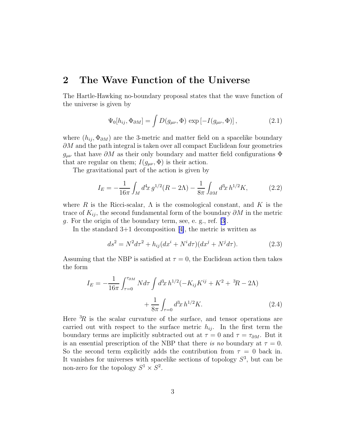#### <span id="page-2-0"></span>2 The Wave Function of the Universe

The Hartle-Hawking no-boundary proposal states that the wave function of the universe is given by

$$
\Psi_0[h_{ij}, \Phi_{\partial M}] = \int D(g_{\mu\nu}, \Phi) \exp\left[-I(g_{\mu\nu}, \Phi)\right],\tag{2.1}
$$

where  $(h_{ij}, \Phi_{\partial M})$  are the 3-metric and matter field on a spacelike boundary  $\partial M$  and the path integral is taken over all compact Euclidean four geometries  $g_{\mu\nu}$  that have  $\partial M$  as their only boundary and matter field configurations  $\Phi$ that are regular on them;  $I(g_{\mu\nu}, \Phi)$  is their action.

The gravitational part of the action is given by

$$
I_E = -\frac{1}{16\pi} \int_M d^4x \, g^{1/2}(R - 2\Lambda) - \frac{1}{8\pi} \int_{\partial M} d^3x \, h^{1/2} K,\tag{2.2}
$$

where R is the Ricci-scalar,  $\Lambda$  is the cosmological constant, and K is the trace of  $K_{ij}$ , the second fundamental form of the boundary  $\partial M$  in the metric g. For the origin of the boundary term, see, e. g., ref. [\[3\]](#page-14-0).

Inthe standard  $3+1$  decomposition [[4\]](#page-15-0), the metric is written as

$$
ds^{2} = N^{2}d\tau^{2} + h_{ij}(dx^{i} + N^{i}d\tau)(dx^{j} + N^{j}d\tau).
$$
 (2.3)

Assuming that the NBP is satisfied at  $\tau = 0$ , the Euclidean action then takes the form

$$
I_E = -\frac{1}{16\pi} \int_{\tau=0}^{\tau_{\partial M}} N d\tau \int d^3x \, h^{1/2} (-K_{ij} K^{ij} + K^2 + {}^3R - 2\Lambda) + \frac{1}{8\pi} \int_{\tau=0} d^3x \, h^{1/2} K. \tag{2.4}
$$

Here  ${}^{3}\!R$  is the scalar curvature of the surface, and tensor operations are carried out with respect to the surface metric  $h_{ij}$ . In the first term the boundary terms are implicitly subtracted out at  $\tau = 0$  and  $\tau = \tau_{\partial M}$ . But it is an essential prescription of the NBP that there *is no* boundary at  $\tau = 0$ . So the second term explicitly adds the contribution from  $\tau = 0$  back in. It vanishes for universes with spacelike sections of topology  $S^3$ , but can be non-zero for the topology  $S^1 \times S^2$ .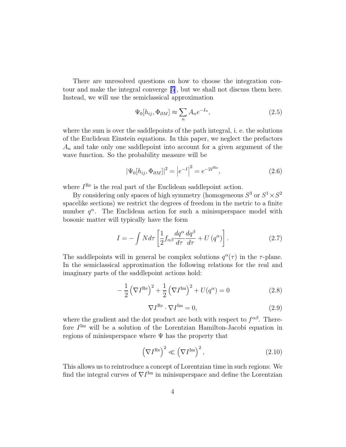<span id="page-3-0"></span>There are unresolved questions on how to choose the integration contour and make the integral converge [\[5](#page-15-0)], but we shall not discuss them here. Instead, we will use the semiclassical approximation

$$
\Psi_0[h_{ij}, \Phi_{\partial M}] \approx \sum_n A_n e^{-I_n},\tag{2.5}
$$

where the sum is over the saddlepoints of the path integral, i. e. the solutions of the Euclidean Einstein equations. In this paper, we neglect the prefactors  $A_n$  and take only one saddlepoint into account for a given argument of the wave function. So the probability measure will be

$$
|\Psi_0[h_{ij}, \Phi_{\partial M}]|^2 = |e^{-I}|^2 = e^{-2I^{\text{Re}}}, \qquad (2.6)
$$

where  $I^{\text{Re}}$  is the real part of the Euclidean saddlepoint action.

By considering only spaces of high symmetry (homogeneous  $S^3$  or  $S^1 \times S^2$ spacelike sections) we restrict the degrees of freedom in the metric to a finite number  $q^{\alpha}$ . The Euclidean action for such a minisuperspace model with bosonic matter will typically have the form

$$
I = -\int N d\tau \left[ \frac{1}{2} f_{\alpha\beta} \frac{dq^{\alpha}}{d\tau} \frac{dq^{\beta}}{d\tau} + U (q^{\alpha}) \right]. \tag{2.7}
$$

The saddlepoints will in general be complex solutions  $q^{\alpha}(\tau)$  in the  $\tau$ -plane. In the semiclassical approximation the following relations for the real and imaginary parts of the saddlepoint actions hold:

$$
-\frac{1}{2}\left(\nabla I^{\text{Re}}\right)^{2} + \frac{1}{2}\left(\nabla I^{\text{Im}}\right)^{2} + U(q^{\alpha}) = 0
$$
\n(2.8)

$$
\nabla I^{\text{Re}} \cdot \nabla I^{\text{Im}} = 0,\tag{2.9}
$$

where the gradient and the dot product are both with respect to  $f^{\alpha\beta}$ . Therefore  $I<sup>Im</sup>$  will be a solution of the Lorentzian Hamilton-Jacobi equation in regions of minisuperspace where  $\Psi$  has the property that

$$
\left(\nabla I^{\text{Re}}\right)^2 \ll \left(\nabla I^{\text{Im}}\right)^2,\tag{2.10}
$$

This allows us to reintroduce a concept of Lorentzian time in such regions: We find the integral curves of  $\nabla I^{\text{Im}}$  in minisuperspace and define the Lorentzian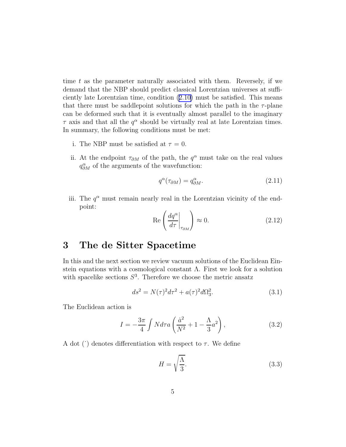<span id="page-4-0"></span>time  $t$  as the parameter naturally associated with them. Reversely, if we demand that the NBP should predict classical Lorentzian universes at sufficiently late Lorentzian time, condition ([2.10\)](#page-3-0) must be satisfied. This means that there must be saddlepoint solutions for which the path in the  $\tau$ -plane can be deformed such that it is eventually almost parallel to the imaginary  $\tau$  axis and that all the  $q^{\alpha}$  should be virtually real at late Lorentzian times. In summary, the following conditions must be met:

- i. The NBP must be satisfied at  $\tau = 0$ .
- ii. At the endpoint  $\tau_{\partial M}$  of the path, the  $q^{\alpha}$  must take on the real values  $q_{\partial M}^{\alpha}$  of the arguments of the wavefunction:

$$
q^{\alpha}(\tau_{\partial M}) = q^{\alpha}_{\partial M}.\tag{2.11}
$$

iii. The  $q^{\alpha}$  must remain nearly real in the Lorentzian vicinity of the endpoint:

$$
\operatorname{Re}\left(\frac{dq^{\alpha}}{d\tau}\bigg|_{\tau_{\partial M}}\right) \approx 0. \tag{2.12}
$$

#### 3 The de Sitter Spacetime

In this and the next section we review vacuum solutions of the Euclidean Einstein equations with a cosmological constant Λ. First we look for a solution with spacelike sections  $S^3$ . Therefore we choose the metric ansatz

$$
ds^{2} = N(\tau)^{2}d\tau^{2} + a(\tau)^{2}d\Omega_{3}^{2}.
$$
 (3.1)

The Euclidean action is

$$
I = -\frac{3\pi}{4} \int N d\tau a \left(\frac{\dot{a}^2}{N^2} + 1 - \frac{\Lambda}{3} a^2\right),\tag{3.2}
$$

A dot ( $\dot{\phantom{a}}$ ) denotes differentiation with respect to  $\tau$ . We define

$$
H = \sqrt{\frac{\Lambda}{3}}.\t(3.3)
$$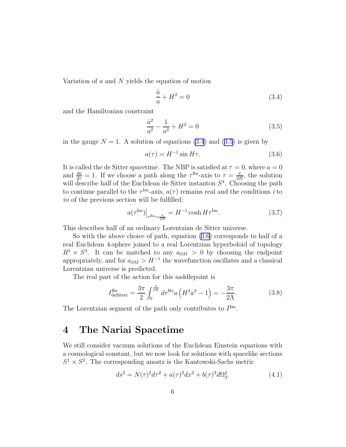<span id="page-5-0"></span>Variation of  $a$  and  $N$  yields the equation of motion

$$
\frac{\ddot{a}}{a} + H^2 = 0\tag{3.4}
$$

and the Hamiltonian constraint

$$
\frac{\dot{a}^2}{a^2} - \frac{1}{a^2} + H^2 = 0\tag{3.5}
$$

in the gauge  $N = 1$ . A solution of equations (3.4) and (3.5) is given by

$$
a(\tau) = H^{-1} \sin H\tau.
$$
 (3.6)

It is called the de Sitter spacetime. The NBP is satisfied at  $\tau = 0$ , where  $a = 0$ and  $\frac{da}{d\tau} = 1$ . If we choose a path along the  $\tau^{\text{Re}}$ -axis to  $\tau = \frac{\pi}{2I}$  $\frac{\pi}{2H}$ , the solution will describe half of the Euclidean de Sitter instanton  $S<sup>4</sup>$ . Choosing the path to continue parallel to the  $\tau^{\text{Im}}$ -axis,  $a(\tau)$  remains real and the conditions *i* to *iii* of the previous section will be fulfilled:

$$
a(\tau^{\text{Im}})\Big|_{\tau^{\text{Re}}=\frac{\pi}{2H}} = H^{-1}\cosh H\tau^{\text{Im}}.\tag{3.7}
$$

This describes half of an ordinary Lorentzian de Sitter universe.

So with the above choice of path, equation (3.6) corresponds to half of a real Euclidean 4-sphere joined to a real Lorentzian hyperboloid of topology  $R^1 \times S^3$ . It can be matched to any  $a_{\partial M} > 0$  by choosing the endpoint appropriately, and for  $a_{\partial M} > H^{-1}$  the wavefunction oscillates and a classical Lorentzian universe is predicted.

The real part of the action for this saddlepoint is

$$
I_{\text{desitter}}^{\text{Re}} = \frac{3\pi}{2} \int_0^{\frac{\pi}{2H}} d\tau^{\text{Re}} a \left( H^2 a^2 - 1 \right) = -\frac{3\pi}{2\Lambda}.
$$
 (3.8)

The Lorentzian segment of the path only contributes to  $I<sup>Im</sup>$ .

### 4 The Nariai Spacetime

We still consider vacuum solutions of the Euclidean Einstein equations with a cosmological constant, but we now look for solutions with spacelike sections  $S^1 \times S^2$ . The corresponding ansatz is the Kantowski-Sachs metric

$$
ds^{2} = N(\tau)^{2}d\tau^{2} + a(\tau)^{2}dx^{2} + b(\tau)^{2}d\Omega_{2}^{2}.
$$
\n(4.1)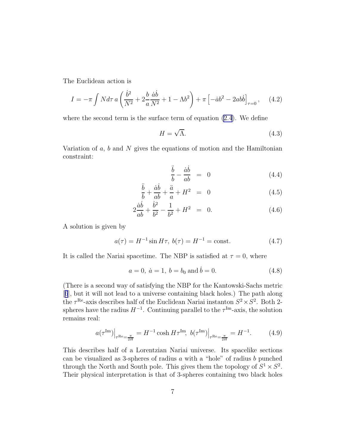<span id="page-6-0"></span>The Euclidean action is

$$
I = -\pi \int N d\tau \, a \left( \frac{\dot{b}^2}{N^2} + 2 \frac{b}{a} \frac{\dot{a} \dot{b}}{N^2} + 1 - \Lambda b^2 \right) + \pi \left[ -\dot{a} b^2 - 2a b \dot{b} \right]_{\tau=0}, \quad (4.2)
$$

where the second term is the surface term of equation [\(2.4](#page-2-0)). We define

$$
H = \sqrt{\Lambda}.\tag{4.3}
$$

Variation of  $a, b$  and  $N$  gives the equations of motion and the Hamiltonian constraint:

$$
\frac{\ddot{b}}{b} - \frac{\dot{a}\dot{b}}{ab} = 0 \tag{4.4}
$$

$$
\frac{\ddot{b}}{b} + \frac{\dot{a}\dot{b}}{ab} + \frac{\ddot{a}}{a} + H^2 = 0 \tag{4.5}
$$

$$
2\frac{\dot{a}\dot{b}}{ab} + \frac{\dot{b}^2}{b^2} - \frac{1}{b^2} + H^2 = 0.
$$
 (4.6)

A solution is given by

$$
a(\tau) = H^{-1} \sin H\tau, \ b(\tau) = H^{-1} = \text{const.} \tag{4.7}
$$

It is called the Nariai spacetime. The NBP is satisfied at  $\tau = 0$ , where

$$
a = 0, \ \dot{a} = 1, \ b = b_0 \text{ and } \dot{b} = 0. \tag{4.8}
$$

(There is a second way of satisfying the NBP for the Kantowski-Sachs metric [[6](#page-15-0)], but it will not lead to a universe containing black holes.) The path along the  $\tau^{\text{Re}}$ -axis describes half of the Euclidean Nariai instanton  $S^2 \times S^2$ . Both 2spheres have the radius  $H^{-1}$ . Continuing parallel to the  $\tau^{\text{Im}}$ -axis, the solution remains real:

$$
a(\tau^{\rm Im})\Big|_{\tau^{\rm Re}=\frac{\pi}{2H}} = H^{-1} \cosh H \tau^{\rm Im}, \ b(\tau^{\rm Im})\Big|_{\tau^{\rm Re}=\frac{\pi}{2H}} = H^{-1}.
$$
 (4.9)

This describes half of a Lorentzian Nariai universe. Its spacelike sections can be visualized as 3-spheres of radius  $a$  with a "hole" of radius  $b$  punched through the North and South pole. This gives them the topology of  $S^1 \times S^2$ . Their physical interpretation is that of 3-spheres containing two black holes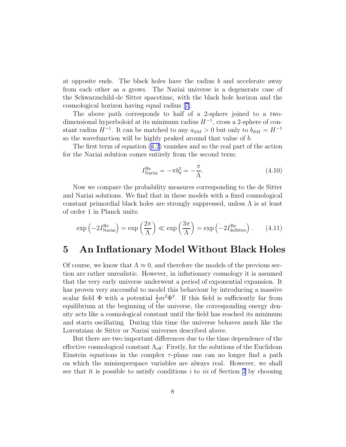<span id="page-7-0"></span>at opposite ends. The black holes have the radius  $b$  and accelerate away from each other as a grows. The Nariai universe is a degenerate case of the Schwarzschild-de Sitter spacetime, with the black hole horizon and the cosmological horizon having equal radius[[7\]](#page-15-0).

The above path corresponds to half of a 2-sphere joined to a twodimensional hyperboloid at its minimum radius  $H^{-1}$ , cross a 2-sphere of constant radius  $H^{-1}$ . It can be matched to any  $a_{\partial M} > 0$  but only to  $b_{\partial M} = H^{-1}$ so the wavefunction will be highly peaked around that value of b.

The first term of equation [\(4.2](#page-6-0)) vanishes and so the real part of the action for the Nariai solution comes entirely from the second term:

$$
I_{\text{Nariai}}^{\text{Re}} = -\pi b_0^2 = -\frac{\pi}{\Lambda}.\tag{4.10}
$$

Now we compare the probability measures corresponding to the de Sitter and Nariai solutions. We find that in these models with a fixed cosmological constant primordial black holes are strongly suppressed, unless  $\Lambda$  is at least of order 1 in Planck units:

$$
\exp\left(-2I_{\text{Naria}}^{\text{Re}}\right) = \exp\left(\frac{2\pi}{\Lambda}\right) \ll \exp\left(\frac{3\pi}{\Lambda}\right) = \exp\left(-2I_{\text{deSitter}}^{\text{Re}}\right). \tag{4.11}
$$

#### 5 An Inflationary Model Without Black Holes

Of course, we know that  $\Lambda \approx 0$ , and therefore the models of the previous section are rather unrealistic. However, in inflationary cosmology it is assumed that the very early universe underwent a period of exponential expansion. It has proven very successful to model this behaviour by introducing a massive scalar field  $\Phi$  with a potential  $\frac{1}{2}m^2\Phi^2$ . If this field is sufficiently far from equilibrium at the beginning of the universe, the corresponding energy density acts like a cosmological constant until the field has reached its minimum and starts oscillating. During this time the universe behaves much like the Lorentzian de Sitter or Nariai universes described above.

But there are two important differences due to the time dependence of the effective cosmological constant  $\Lambda_{\text{eff}}$ : Firstly, for the solutions of the Euclidean Einstein equations in the complex  $\tau$ -plane one can no longer find a path on which the minisuperspace variables are always real. However, we shall see that it is possible to satisfy conditions *i* to *iii* of Section [2](#page-2-0) by choosing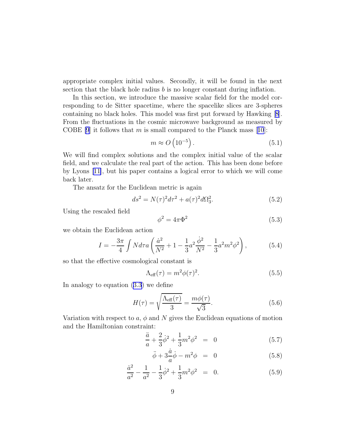<span id="page-8-0"></span>appropriate complex initial values. Secondly, it will be found in the next section that the black hole radius  $b$  is no longer constant during inflation.

In this section, we introduce the massive scalar field for the model corresponding to de Sitter spacetime, where the spacelike slices are 3-spheres containing no black holes. This model was first put forward by Hawking[[8](#page-15-0)]. From the fluctuations in the cosmic microwave background as measured by COBE [\[9](#page-15-0)]it follows that m is small compared to the Planck mass [[10](#page-15-0)]:

$$
m \approx O\left(10^{-5}\right). \tag{5.1}
$$

We will find complex solutions and the complex initial value of the scalar field, and we calculate the real part of the action. This has been done before by Lyons[[11\]](#page-15-0), but his paper contains a logical error to which we will come back later.

The ansatz for the Euclidean metric is again

$$
ds^{2} = N(\tau)^{2}d\tau^{2} + a(\tau)^{2}d\Omega_{3}^{2}.
$$
\n(5.2)

Using the rescaled field

$$
\phi^2 = 4\pi \Phi^2 \tag{5.3}
$$

we obtain the Euclidean action

$$
I = -\frac{3\pi}{4} \int N d\tau a \left( \frac{\dot{a}^2}{N^2} + 1 - \frac{1}{3} a^2 \frac{\dot{\phi}^2}{N^2} - \frac{1}{3} a^2 m^2 \phi^2 \right),\tag{5.4}
$$

so that the effective cosmological constant is

$$
\Lambda_{\text{eff}}(\tau) = m^2 \phi(\tau)^2. \tag{5.5}
$$

In analogy to equation ([3.3\)](#page-4-0) we define

$$
H(\tau) = \sqrt{\frac{\Lambda_{\text{eff}}(\tau)}{3}} = \frac{m\phi(\tau)}{\sqrt{3}}.
$$
\n(5.6)

Variation with respect to a,  $\phi$  and N gives the Euclidean equations of motion and the Hamiltonian constraint:

$$
\frac{\ddot{a}}{a} + \frac{2}{3}\dot{\phi}^2 + \frac{1}{3}m^2\phi^2 = 0 \tag{5.7}
$$

$$
\ddot{\phi} + 3\frac{\dot{a}}{a}\dot{\phi} - m^2\phi = 0 \tag{5.8}
$$

$$
\frac{\dot{a}^2}{a^2} - \frac{1}{a^2} - \frac{1}{3}\dot{\phi}^2 + \frac{1}{3}m^2\phi^2 = 0.
$$
 (5.9)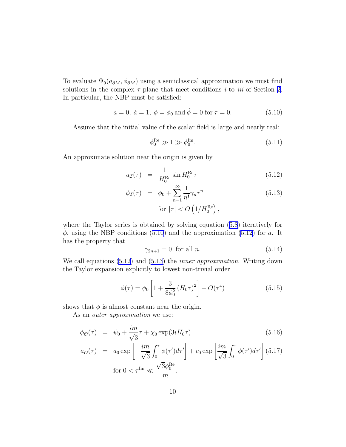<span id="page-9-0"></span>To evaluate  $\Psi_0(a_{\partial M}, \phi_{\partial M})$  using a semiclassical approximation we must find solutions in the complex  $\tau$ -plane that meet conditions *i* to *iii* of Section [2.](#page-2-0) In particular, the NBP must be satisfied:

$$
a = 0, \dot{a} = 1, \phi = \phi_0 \text{ and } \dot{\phi} = 0 \text{ for } \tau = 0.
$$
 (5.10)

Assume that the initial value of the scalar field is large and nearly real:

$$
\phi_0^{\text{Re}} \gg 1 \gg \phi_0^{\text{Im}}.\tag{5.11}
$$

An approximate solution near the origin is given by

$$
a_{\mathcal{I}}(\tau) = \frac{1}{H_0^{\text{Re}}} \sin H_0^{\text{Re}} \tau \tag{5.12}
$$

$$
\phi_{\mathcal{I}}(\tau) = \phi_0 + \sum_{n=1}^{\infty} \frac{1}{n!} \gamma_n \tau^n
$$
\n
$$
\text{for } |\tau| < O\left(1/H_0^{\text{Re}}\right),\tag{5.13}
$$

where the Taylor series is obtained by solving equation ([5.8\)](#page-8-0) iteratively for  $\phi$ , using the NBP conditions (5.10) and the approximation (5.12) for a. It has the property that

$$
\gamma_{2n+1} = 0 \quad \text{for all } n. \tag{5.14}
$$

We call equations (5.12) and (5.13) the *inner approximation*. Writing down the Taylor expansion explicitly to lowest non-trivial order

$$
\phi(\tau) = \phi_0 \left[ 1 + \frac{3}{8\phi_0^2} \left( H_0 \tau \right)^2 \right] + O(\tau^4)
$$
\n(5.15)

shows that  $\phi$  is almost constant near the origin.

As an *outer approximation* we use:

$$
\phi_{\mathcal{O}}(\tau) = \psi_0 + \frac{im}{\sqrt{3}} \tau + \chi_0 \exp(3iH_0\tau)
$$
\n
$$
a_{\mathcal{O}}(\tau) = a_0 \exp\left[-\frac{im}{\sqrt{3}} \int_0^\tau \phi(\tau') d\tau'\right] + c_0 \exp\left[\frac{im}{\sqrt{3}} \int_0^\tau \phi(\tau') d\tau'\right] (5.17)
$$
\n
$$
\text{for } 0 < \tau^{\text{Im}} \ll \frac{\sqrt{3}\phi_0^{\text{Re}}}{m}.
$$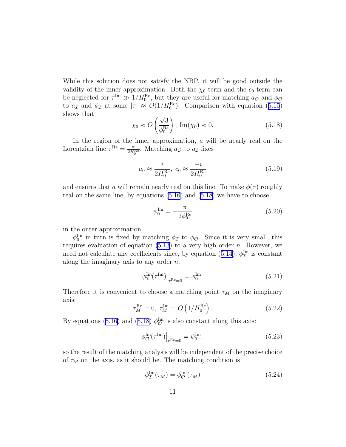<span id="page-10-0"></span>While this solution does not satisfy the NBP, it will be good outside the validity of the inner approximation. Both the  $\chi_0$ -term and the  $c_0$ -term can be neglected for  $\tau^{\text{Im}} \gg 1/H_0^{\text{Re}}$ , but they are useful for matching  $a_{\mathcal{O}}$  and  $\phi_{\mathcal{O}}$ to  $a_{\mathcal{I}}$  and  $\phi_{\mathcal{I}}$  at some  $|\tau| \approx O(1/H_0^{\text{Re}})$ . Comparison with equation ([5.15](#page-9-0)) shows that

$$
\chi_0 \approx O\left(\frac{\sqrt{3}}{\phi_0^{\text{Re}}}\right), \text{ Im}(\chi_0) \approx 0.
$$
 (5.18)

In the region of the inner approximation,  $a$  will be nearly real on the Lorentzian line  $\tau^{\text{Re}} = \frac{\pi}{2H_0^{\text{Re}}}$ . Matching  $a_{\mathcal{O}}$  to  $a_{\mathcal{I}}$  fixes

$$
a_0 \approx \frac{i}{2H_0^{\text{Re}}}, \ c_0 \approx \frac{-i}{2H_0^{\text{Re}}}
$$
 (5.19)

and ensures that a will remain nearly real on this line. To make  $\phi(\tau)$  roughly real on the same line, by equations [\(5.16](#page-9-0)) and (5.18) we have to choose

$$
\psi_0^{\text{Im}} = -\frac{\pi}{2\phi_0^{\text{Re}}}
$$
\n(5.20)

in the outer approximation.

 $\phi_0^{\text{Im}}$  in turn is fixed by matching  $\phi_{\mathcal{I}}$  to  $\phi_{\mathcal{O}}$ . Since it is very small, this requires evaluation of equation [\(5.13](#page-9-0)) to a very high order  $n$ . However, we need not calculate any coefficients since, by equation ([5.14\)](#page-9-0),  $\phi_{\mathcal{I}}^{\text{Im}}$  is constant along the imaginary axis to any order n:

$$
\left. \phi_{\mathcal{I}}^{\text{Im}}(\tau^{\text{Im}}) \right|_{\tau^{\text{Re}}=0} = \phi_0^{\text{Im}}.\tag{5.21}
$$

Therefore it is convenient to choose a matching point  $\tau_M$  on the imaginary axis:

$$
\tau_M^{\text{Re}} = 0, \ \tau_M^{\text{Im}} = O\left(1/H_0^{\text{Re}}\right). \tag{5.22}
$$

By equations ([5.16\)](#page-9-0) and (5.18)  $\phi^{\text{Im}}_{\mathcal{O}}$  is also constant along this axis:

$$
\left. \phi_{\mathcal{O}}^{\text{Im}}(\tau^{\text{Im}}) \right|_{\tau^{\text{Re}}=0} = \psi_0^{\text{Im}},\tag{5.23}
$$

so the result of the matching analysis will be independent of the precise choice of  $\tau_M$  on the axis, as it should be. The matching condition is

$$
\phi_{\mathcal{I}}^{\text{Im}}(\tau_M) = \phi_{\mathcal{O}}^{\text{Im}}(\tau_M) \tag{5.24}
$$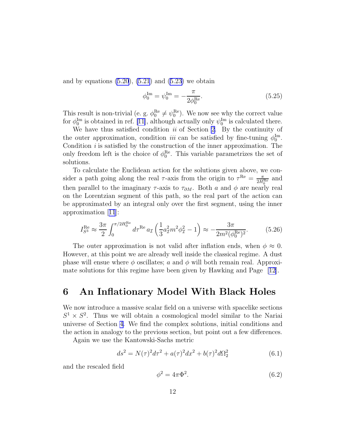<span id="page-11-0"></span>and by equations  $(5.20)$  $(5.20)$ ,  $(5.21)$  $(5.21)$  and  $(5.23)$  we obtain

$$
\phi_0^{\text{Im}} = \psi_0^{\text{Im}} = -\frac{\pi}{2\phi_0^{\text{Re}}}.
$$
\n(5.25)

This result is non-trivial (e. g.  $\phi_0^{\text{Re}} \neq \psi_0^{\text{Re}}$ ). We now see why the correct value for  $\phi_0^{\text{Im}}$  is obtained in ref. [\[11\]](#page-15-0), although actually only  $\psi_0^{\text{Im}}$  is calculated there.

We have thus satisfied condition *ii* of Section [2](#page-2-0). By the continuity of the outer approximation, condition *iii* can be satisfied by fine-tuning  $\phi_0^{\text{Im}}$ . Condition *i* is satisfied by the construction of the inner approximation. The only freedom left is the choice of  $\phi_0^{\text{Re}}$ . This variable parametrizes the set of solutions.

To calculate the Euclidean action for the solutions given above, we consider a path going along the real  $\tau$ -axis from the origin to  $\tau^{\text{Re}} = \frac{\pi}{2H_0^{\text{Re}}}$  and then parallel to the imaginary  $\tau$ -axis to  $\tau_{\partial M}$ . Both a and  $\phi$  are nearly real on the Lorentzian segment of this path, so the real part of the action can be approximated by an integral only over the first segment, using the inner approximation[[11](#page-15-0)]:

$$
I_{S^3}^{\text{Re}} \approx \frac{3\pi}{2} \int_0^{\pi/2H_0^{\text{Re}}} d\tau^{\text{Re}} a_{\mathcal{I}} \left(\frac{1}{3} a_{\mathcal{I}}^2 m^2 \phi_{\mathcal{I}}^2 - 1\right) \approx -\frac{3\pi}{2m^2(\phi_0^{\text{Re}})^2}.
$$
 (5.26)

The outer approximation is not valid after inflation ends, when  $\phi \approx 0$ . However, at this point we are already well inside the classical regime. A dust phase will ensue where  $\phi$  oscillates; a and  $\phi$  will both remain real. Approximate solutions for this regime have been given by Hawking and Page [\[12\]](#page-15-0).

#### 6 An Inflationary Model With Black Holes

We now introduce a massive scalar field on a universe with spacelike sections  $S^1 \times S^2$ . Thus we will obtain a cosmological model similar to the Nariai universe of Section [4](#page-5-0). We find the complex solutions, initial conditions and the action in analogy to the previous section, but point out a few differences.

Again we use the Kantowski-Sachs metric

$$
ds^{2} = N(\tau)^{2}d\tau^{2} + a(\tau)^{2}dx^{2} + b(\tau)^{2}d\Omega_{2}^{2}
$$
\n(6.1)

and the rescaled field

$$
\phi^2 = 4\pi \Phi^2. \tag{6.2}
$$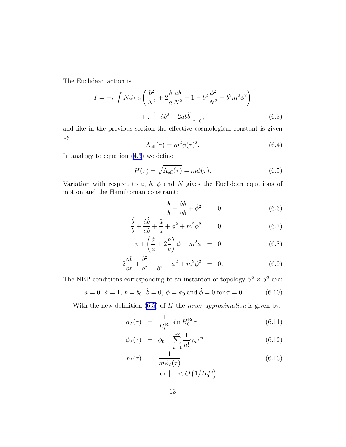The Euclidean action is

$$
I = -\pi \int N d\tau \, a \left( \frac{\dot{b}^2}{N^2} + 2\frac{b}{a} \frac{\dot{a}\dot{b}}{N^2} + 1 - b^2 \frac{\dot{\phi}^2}{N^2} - b^2 m^2 \phi^2 \right) + \pi \left[ -\dot{a}b^2 - 2ab\dot{b} \right]_{\tau=0},
$$
 (6.3)

and like in the previous section the effective cosmological constant is given by

$$
\Lambda_{\text{eff}}(\tau) = m^2 \phi(\tau)^2. \tag{6.4}
$$

In analogy to equation ([4.3\)](#page-6-0) we define

$$
H(\tau) = \sqrt{\Lambda_{\text{eff}}(\tau)} = m\phi(\tau). \tag{6.5}
$$

Variation with respect to a, b,  $\phi$  and N gives the Euclidean equations of motion and the Hamiltonian constraint:

$$
\frac{\ddot{b}}{b} - \frac{\dot{a}\dot{b}}{ab} + \dot{\phi}^2 = 0 \tag{6.6}
$$

$$
\frac{\ddot{b}}{b} + \frac{\dot{a}\dot{b}}{ab} + \frac{\ddot{a}}{a} + \dot{\phi}^2 + m^2 \phi^2 = 0
$$
 (6.7)

$$
\ddot{\phi} + \left(\frac{\dot{a}}{a} + 2\frac{\dot{b}}{b}\right)\dot{\phi} - m^2\phi = 0 \tag{6.8}
$$

$$
2\frac{\dot{a}\dot{b}}{ab} + \frac{\dot{b}^2}{b^2} - \frac{1}{b^2} - \dot{\phi}^2 + m^2 \phi^2 = 0.
$$
 (6.9)

The NBP conditions corresponding to an instanton of topology  $S^2 \times S^2$  are:

$$
a = 0, \ \dot{a} = 1, \ b = b_0, \ \dot{b} = 0, \ \phi = \phi_0 \text{ and } \dot{\phi} = 0 \text{ for } \tau = 0.
$$
 (6.10)

With the new definition (6.5) of H the *inner approximation* is given by:

$$
a_{\mathcal{I}}(\tau) = \frac{1}{H_0^{\text{Re}}} \sin H_0^{\text{Re}} \tau \tag{6.11}
$$

$$
\phi_{\mathcal{I}}(\tau) = \phi_0 + \sum_{n=1}^{\infty} \frac{1}{n!} \gamma_n \tau^n \tag{6.12}
$$

$$
b_{\mathcal{I}}(\tau) = \frac{1}{m\phi_{\mathcal{I}}(\tau)}
$$
  
for  $|\tau| < O\left(1/H_0^{\text{Re}}\right)$ . (6.13)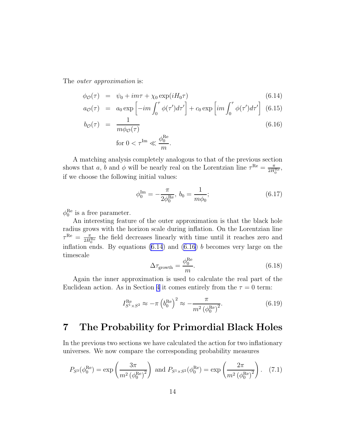<span id="page-13-0"></span>The *outer approximation* is:

$$
\phi_{\mathcal{O}}(\tau) = \psi_0 + im\tau + \chi_0 \exp(iH_0\tau) \tag{6.14}
$$

$$
a_{\mathcal{O}}(\tau) = a_0 \exp\left[-im \int_0^{\tau} \phi(\tau') d\tau'\right] + c_0 \exp\left(im \int_0^{\tau} \phi(\tau') d\tau'\right] (6.15)
$$

$$
b_{\mathcal{O}}(\tau) = \frac{1}{m\phi_{\mathcal{O}}(\tau)}\tag{6.16}
$$

for 
$$
0 < \tau^{\text{Im}} \ll \frac{\phi_0^{\text{Re}}}{m}
$$
.

A matching analysis completely analogous to that of the previous section shows that a, b and  $\phi$  will be nearly real on the Lorentzian line  $\tau^{\text{Re}} = \frac{\pi}{2H_0^{\text{Re}}},$ if we choose the following initial values:

$$
\phi_0^{\text{Im}} = -\frac{\pi}{2\phi_0^{\text{Re}}}, \ b_0 = \frac{1}{m\phi_0};\tag{6.17}
$$

 $\phi_0^{\text{Re}}$  is a free parameter.

An interesting feature of the outer approximation is that the black hole radius grows with the horizon scale during inflation. On the Lorentzian line  $\tau^{\text{Re}} = \frac{\pi}{2H_0^{\text{Re}}}$  the field decreases linearly with time until it reaches zero and inflation ends. By equations  $(6.14)$  and  $(6.16)$  b becomes very large on the timescale

$$
\Delta \tau_{\text{growth}} = \frac{\phi_0^{\text{Re}}}{m}.\tag{6.18}
$$

Again the inner approximation is used to calculate the real part of the Euclidean action. As in Section [4](#page-5-0) it comes entirely from the  $\tau = 0$  term:

$$
I_{S^1 \times S^2}^{\text{Re}} \approx -\pi \left( b_0^{\text{Re}} \right)^2 \approx -\frac{\pi}{m^2 \left( \phi_0^{\text{Re}} \right)^2}.
$$
 (6.19)

## 7 The Probability for Primordial Black Holes

In the previous two sections we have calculated the action for two inflationary universes. We now compare the corresponding probability measures

$$
P_{S^3}(\phi_0^{\text{Re}}) = \exp\left(\frac{3\pi}{m^2(\phi_0^{\text{Re}})^2}\right) \text{ and } P_{S^1 \times S^2}(\phi_0^{\text{Re}}) = \exp\left(\frac{2\pi}{m^2(\phi_0^{\text{Re}})^2}\right). \tag{7.1}
$$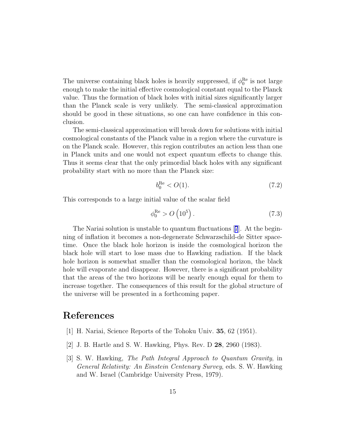<span id="page-14-0"></span>The universe containing black holes is heavily suppressed, if  $\phi_0^{\text{Re}}$  is not large enough to make the initial effective cosmological constant equal to the Planck value. Thus the formation of black holes with initial sizes significantly larger than the Planck scale is very unlikely. The semi-classical approximation should be good in these situations, so one can have confidence in this conclusion.

The semi-classical approximation will break down for solutions with initial cosmological constants of the Planck value in a region where the curvature is on the Planck scale. However, this region contributes an action less than one in Planck units and one would not expect quantum effects to change this. Thus it seems clear that the only primordial black holes with any significant probability start with no more than the Planck size:

$$
b_0^{\text{Re}} < O(1). \tag{7.2}
$$

This corresponds to a large initial value of the scalar field

$$
\phi_0^{\text{Re}} > O\left(10^5\right). \tag{7.3}
$$

The Nariai solution is unstable to quantum fluctuations[[7](#page-15-0)]. At the beginning of inflation it becomes a non-degenerate Schwarzschild-de Sitter spacetime. Once the black hole horizon is inside the cosmological horizon the black hole will start to lose mass due to Hawking radiation. If the black hole horizon is somewhat smaller than the cosmological horizon, the black hole will evaporate and disappear. However, there is a significant probability that the areas of the two horizons will be nearly enough equal for them to increase together. The consequences of this result for the global structure of the universe will be presented in a forthcoming paper.

# References

- [1] H. Nariai, Science Reports of the Tohoku Univ. 35, 62 (1951).
- [2] J. B. Hartle and S. W. Hawking, Phys. Rev. D 28, 2960 (1983).
- [3] S. W. Hawking, *The Path Integral Approach to Quantum Gravity*, in *General Relativity: An Einstein Centenary Survey*, eds. S. W. Hawking and W. Israel (Cambridge University Press, 1979).